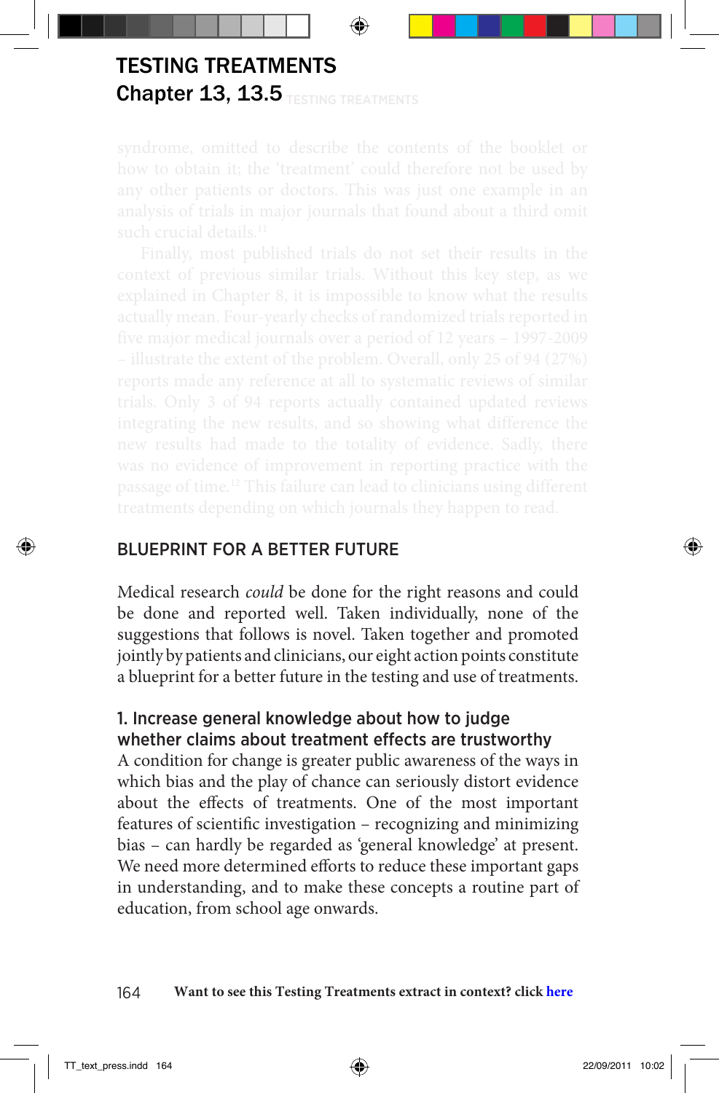# Chapter 13, 13.5  $_{\tiny{\textsf{TESTING TREATMENTS}}}$ TESTING TREATMENTS

# BLUEPRINT FOR A BETTER FUTURE

Medical research *could* be done for the right reasons and could be done and reported well. Taken individually, none of the suggestions that follows is novel. Taken together and promoted jointly by patients and clinicians, our eight action points constitute a blueprint for a better future in the testing and use of treatments.

## 1. Increase general knowledge about how to judge whether claims about treatment effects are trustworthy

A condition for change is greater public awareness of the ways in which bias and the play of chance can seriously distort evidence about the effects of treatments. One of the most important features of scientific investigation – recognizing and minimizing bias – can hardly be regarded as 'general knowledge' at present. We need more determined efforts to reduce these important gaps in understanding, and to make these concepts a routine part of education, from school age onwards.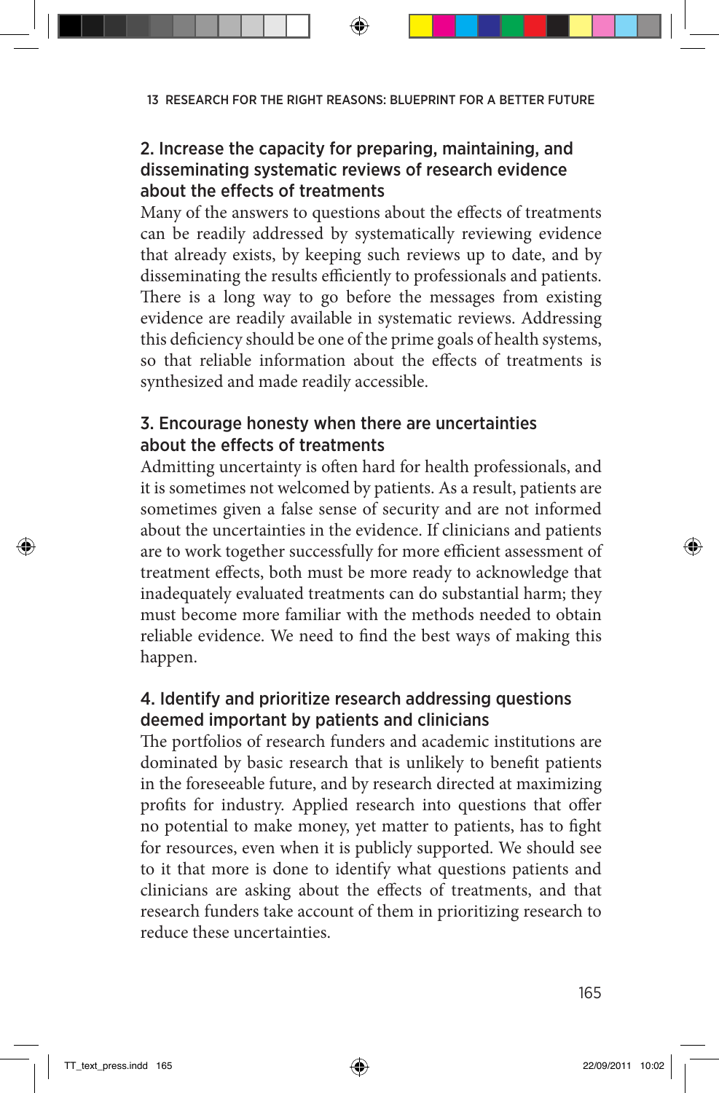# 2. Increase the capacity for preparing, maintaining, and disseminating systematic reviews of research evidence about the effects of treatments

Many of the answers to questions about the effects of treatments can be readily addressed by systematically reviewing evidence that already exists, by keeping such reviews up to date, and by disseminating the results efficiently to professionals and patients. There is a long way to go before the messages from existing evidence are readily available in systematic reviews. Addressing this deficiency should be one of the prime goals of health systems, so that reliable information about the effects of treatments is synthesized and made readily accessible.

# 3. Encourage honesty when there are uncertainties about the effects of treatments

Admitting uncertainty is often hard for health professionals, and it is sometimes not welcomed by patients. As a result, patients are sometimes given a false sense of security and are not informed about the uncertainties in the evidence. If clinicians and patients are to work together successfully for more efficient assessment of treatment effects, both must be more ready to acknowledge that inadequately evaluated treatments can do substantial harm; they must become more familiar with the methods needed to obtain reliable evidence. We need to find the best ways of making this happen.

# 4. Identify and prioritize research addressing questions deemed important by patients and clinicians

The portfolios of research funders and academic institutions are dominated by basic research that is unlikely to benefit patients in the foreseeable future, and by research directed at maximizing profits for industry. Applied research into questions that offer no potential to make money, yet matter to patients, has to fight for resources, even when it is publicly supported. We should see to it that more is done to identify what questions patients and clinicians are asking about the effects of treatments, and that research funders take account of them in prioritizing research to reduce these uncertainties.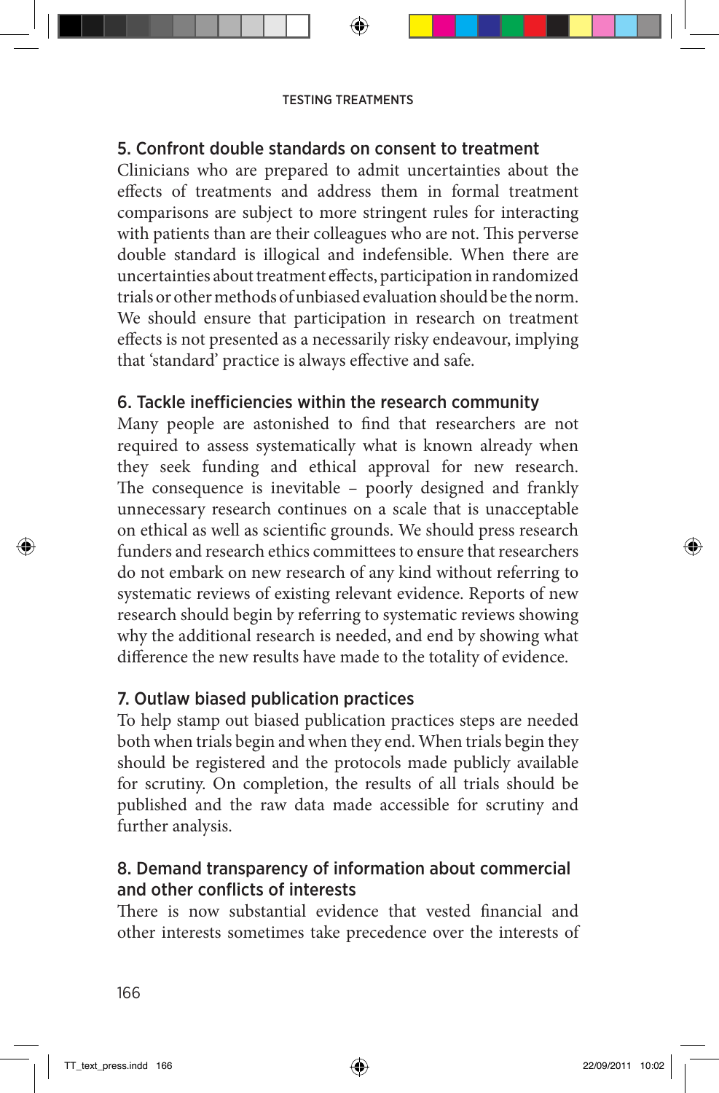#### 5. Confront double standards on consent to treatment

Clinicians who are prepared to admit uncertainties about the effects of treatments and address them in formal treatment comparisons are subject to more stringent rules for interacting with patients than are their colleagues who are not. This perverse double standard is illogical and indefensible. When there are uncertainties about treatment effects, participation in randomized trials or other methods of unbiased evaluation should be the norm. We should ensure that participation in research on treatment effects is not presented as a necessarily risky endeavour, implying that 'standard' practice is always effective and safe.

#### 6. Tackle inefficiencies within the research community

Many people are astonished to find that researchers are not required to assess systematically what is known already when they seek funding and ethical approval for new research. The consequence is inevitable – poorly designed and frankly unnecessary research continues on a scale that is unacceptable on ethical as well as scientific grounds. We should press research funders and research ethics committees to ensure that researchers do not embark on new research of any kind without referring to systematic reviews of existing relevant evidence. Reports of new research should begin by referring to systematic reviews showing why the additional research is needed, and end by showing what difference the new results have made to the totality of evidence.

#### 7. Outlaw biased publication practices

To help stamp out biased publication practices steps are needed both when trials begin and when they end. When trials begin they should be registered and the protocols made publicly available for scrutiny. On completion, the results of all trials should be published and the raw data made accessible for scrutiny and further analysis.

#### 8. Demand transparency of information about commercial and other conflicts of interests

There is now substantial evidence that vested financial and other interests sometimes take precedence over the interests of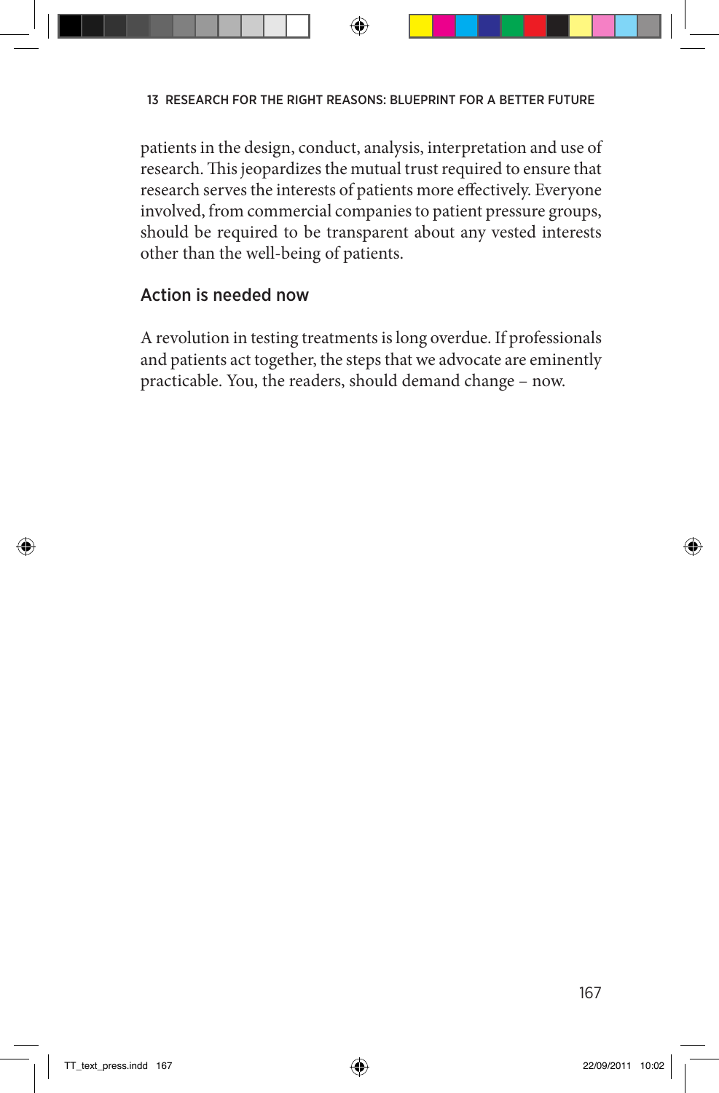patients in the design, conduct, analysis, interpretation and use of research. This jeopardizes the mutual trust required to ensure that research serves the interests of patients more effectively. Everyone involved, from commercial companies to patient pressure groups, should be required to be transparent about any vested interests other than the well-being of patients.

# Action is needed now

A revolution in testing treatments is long overdue. If professionals and patients act together, the steps that we advocate are eminently practicable. You, the readers, should demand change – now.